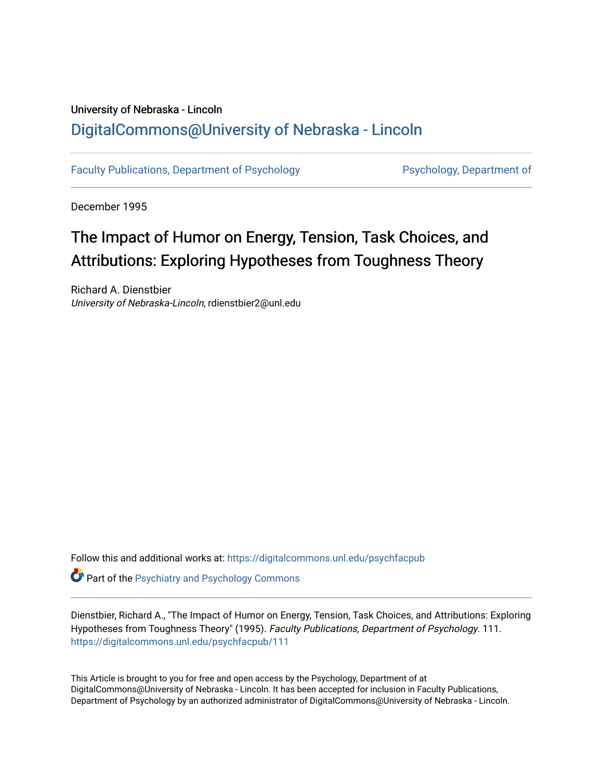## University of Nebraska - Lincoln [DigitalCommons@University of Nebraska - Lincoln](https://digitalcommons.unl.edu/)

[Faculty Publications, Department of Psychology](https://digitalcommons.unl.edu/psychfacpub) Psychology, Department of

December 1995

# The Impact of Humor on Energy, Tension, Task Choices, and Attributions: Exploring Hypotheses from Toughness Theory

Richard A. Dienstbier University of Nebraska-Lincoln, rdienstbier2@unl.edu

Follow this and additional works at: [https://digitalcommons.unl.edu/psychfacpub](https://digitalcommons.unl.edu/psychfacpub?utm_source=digitalcommons.unl.edu%2Fpsychfacpub%2F111&utm_medium=PDF&utm_campaign=PDFCoverPages) 

**Part of the Psychiatry and Psychology Commons** 

Dienstbier, Richard A., "The Impact of Humor on Energy, Tension, Task Choices, and Attributions: Exploring Hypotheses from Toughness Theory" (1995). Faculty Publications, Department of Psychology. 111. [https://digitalcommons.unl.edu/psychfacpub/111](https://digitalcommons.unl.edu/psychfacpub/111?utm_source=digitalcommons.unl.edu%2Fpsychfacpub%2F111&utm_medium=PDF&utm_campaign=PDFCoverPages) 

This Article is brought to you for free and open access by the Psychology, Department of at DigitalCommons@University of Nebraska - Lincoln. It has been accepted for inclusion in Faculty Publications, Department of Psychology by an authorized administrator of DigitalCommons@University of Nebraska - Lincoln.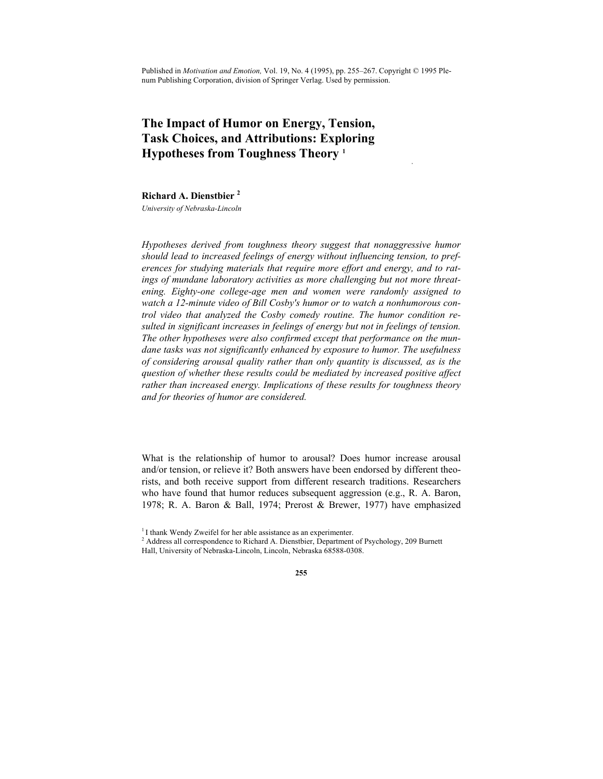Published in *Motivation and Emotion,* Vol. 19, No. 4 (1995), pp. 255–267. Copyright © 1995 Plenum Publishing Corporation, division of Springer Verlag. Used by permission.

 **,** 

### **The Impact of Humor on Energy, Tension, Task Choices, and Attributions: Exploring Hypotheses from Toughness Theory 1**

**Richard A. Dienstbier <sup>2</sup>**

*University of Nebraska-Lincoln* 

*Hypotheses derived from toughness theory suggest that nonaggressive humor should lead to increased feelings of energy without influencing tension, to preferences for studying materials that require more effort and energy, and to ratings of mundane laboratory activities as more challenging but not more threatening. Eighty-one college-age men and women were randomly assigned to watch a 12-minute video of Bill Cosby's humor or to watch a nonhumorous control video that analyzed the Cosby comedy routine. The humor condition resulted in significant increases in feelings of energy but not in feelings of tension. The other hypotheses were also confirmed except that performance on the mundane tasks was not significantly enhanced by exposure to humor. The usefulness of considering arousal quality rather than only quantity is discussed, as is the question of whether these results could be mediated by increased positive affect rather than increased energy. Implications of these results for toughness theory and for theories of humor are considered.* 

What is the relationship of humor to arousal? Does humor increase arousal and/or tension, or relieve it? Both answers have been endorsed by different theorists, and both receive support from different research traditions. Researchers who have found that humor reduces subsequent aggression (e.g., R. A. Baron, 1978; R. A. Baron & Ball, 1974; Prerost & Brewer, 1977) have emphasized

<sup>&</sup>lt;sup>1</sup> I thank Wendy Zweifel for her able assistance as an experimenter.

<sup>&</sup>lt;sup>2</sup> Address all correspondence to Richard A. Dienstbier, Department of Psychology, 209 Burnett Hall, University of Nebraska-Lincoln, Lincoln, Nebraska 68588-0308.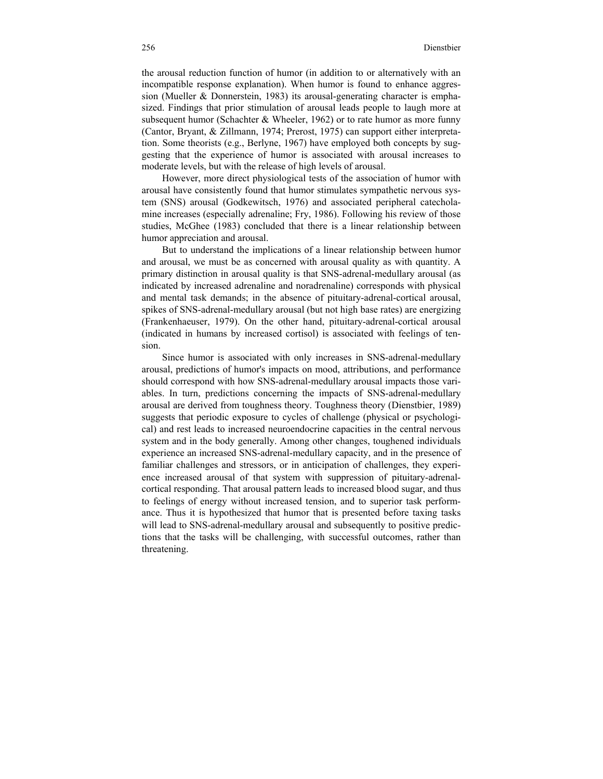the arousal reduction function of humor (in addition to or alternatively with an incompatible response explanation). When humor is found to enhance aggression (Mueller & Donnerstein, 1983) its arousal-generating character is emphasized. Findings that prior stimulation of arousal leads people to laugh more at subsequent humor (Schachter & Wheeler, 1962) or to rate humor as more funny (Cantor, Bryant, & Zillmann, 1974; Prerost, 1975) can support either interpretation. Some theorists (e.g., Berlyne, 1967) have employed both concepts by suggesting that the experience of humor is associated with arousal increases to moderate levels, but with the release of high levels of arousal.

However, more direct physiological tests of the association of humor with arousal have consistently found that humor stimulates sympathetic nervous system (SNS) arousal (Godkewitsch, 1976) and associated peripheral catecholamine increases (especially adrenaline; Fry, 1986). Following his review of those studies, McGhee (1983) concluded that there is a linear relationship between humor appreciation and arousal.

But to understand the implications of a linear relationship between humor and arousal, we must be as concerned with arousal quality as with quantity. A primary distinction in arousal quality is that SNS-adrenal-medullary arousal (as indicated by increased adrenaline and noradrenaline) corresponds with physical and mental task demands; in the absence of pituitary-adrenal-cortical arousal, spikes of SNS-adrenal-medullary arousal (but not high base rates) are energizing (Frankenhaeuser, 1979). On the other hand, pituitary-adrenal-cortical arousal (indicated in humans by increased cortisol) is associated with feelings of tension.

Since humor is associated with only increases in SNS-adrenal-medullary arousal, predictions of humor's impacts on mood, attributions, and performance should correspond with how SNS-adrenal-medullary arousal impacts those variables. In turn, predictions concerning the impacts of SNS-adrenal-medullary arousal are derived from toughness theory. Toughness theory (Dienstbier, 1989) suggests that periodic exposure to cycles of challenge (physical or psychological) and rest leads to increased neuroendocrine capacities in the central nervous system and in the body generally. Among other changes, toughened individuals experience an increased SNS-adrenal-medullary capacity, and in the presence of familiar challenges and stressors, or in anticipation of challenges, they experience increased arousal of that system with suppression of pituitary-adrenalcortical responding. That arousal pattern leads to increased blood sugar, and thus to feelings of energy without increased tension, and to superior task performance. Thus it is hypothesized that humor that is presented before taxing tasks will lead to SNS-adrenal-medullary arousal and subsequently to positive predictions that the tasks will be challenging, with successful outcomes, rather than threatening.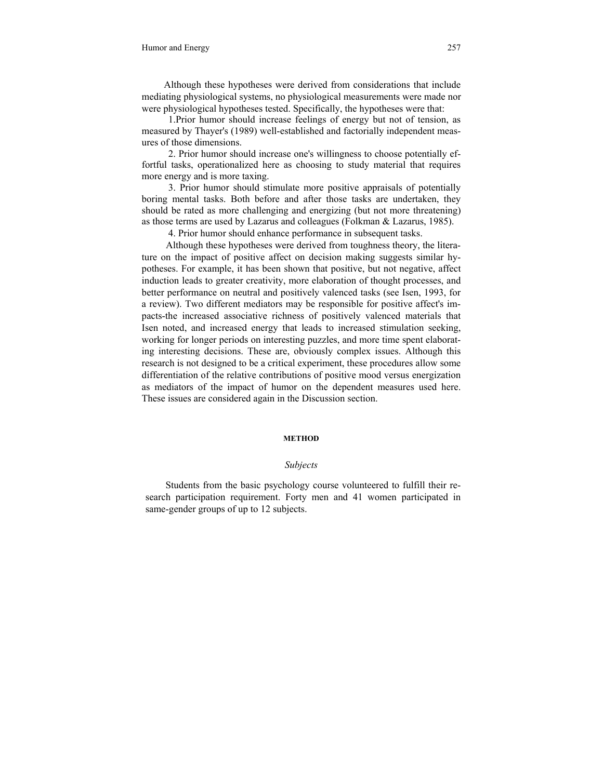Although these hypotheses were derived from considerations that include mediating physiological systems, no physiological measurements were made nor were physiological hypotheses tested. Specifically, the hypotheses were that:

1.Prior humor should increase feelings of energy but not of tension, as measured by Thayer's (1989) well-established and factorially independent measures of those dimensions.

2. Prior humor should increase one's willingness to choose potentially effortful tasks, operationalized here as choosing to study material that requires more energy and is more taxing.

3. Prior humor should stimulate more positive appraisals of potentially boring mental tasks. Both before and after those tasks are undertaken, they should be rated as more challenging and energizing (but not more threatening) as those terms are used by Lazarus and colleagues (Folkman & Lazarus, 1985).

4. Prior humor should enhance performance in subsequent tasks.

Although these hypotheses were derived from toughness theory, the literature on the impact of positive affect on decision making suggests similar hypotheses. For example, it has been shown that positive, but not negative, affect induction leads to greater creativity, more elaboration of thought processes, and better performance on neutral and positively valenced tasks (see Isen, 1993, for a review). Two different mediators may be responsible for positive affect's impacts-the increased associative richness of positively valenced materials that Isen noted, and increased energy that leads to increased stimulation seeking, working for longer periods on interesting puzzles, and more time spent elaborating interesting decisions. These are, obviously complex issues. Although this research is not designed to be a critical experiment, these procedures allow some differentiation of the relative contributions of positive mood versus energization as mediators of the impact of humor on the dependent measures used here. These issues are considered again in the Discussion section.

#### **METHOD**

#### *Subjects*

Students from the basic psychology course volunteered to fulfill their research participation requirement. Forty men and 41 women participated in same-gender groups of up to 12 subjects.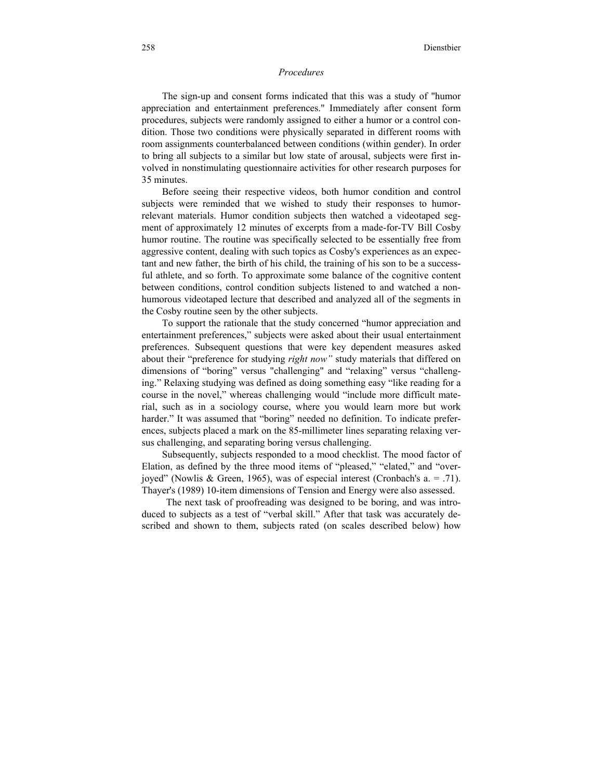#### *Procedures*

The sign-up and consent forms indicated that this was a study of "humor appreciation and entertainment preferences." Immediately after consent form procedures, subjects were randomly assigned to either a humor or a control condition. Those two conditions were physically separated in different rooms with room assignments counterbalanced between conditions (within gender). In order to bring all subjects to a similar but low state of arousal, subjects were first involved in nonstimulating questionnaire activities for other research purposes for 35 minutes.

Before seeing their respective videos, both humor condition and control subjects were reminded that we wished to study their responses to humorrelevant materials. Humor condition subjects then watched a videotaped segment of approximately 12 minutes of excerpts from a made-for-TV Bill Cosby humor routine. The routine was specifically selected to be essentially free from aggressive content, dealing with such topics as Cosby's experiences as an expectant and new father, the birth of his child, the training of his son to be a successful athlete, and so forth. To approximate some balance of the cognitive content between conditions, control condition subjects listened to and watched a nonhumorous videotaped lecture that described and analyzed all of the segments in the Cosby routine seen by the other subjects.

To support the rationale that the study concerned "humor appreciation and entertainment preferences," subjects were asked about their usual entertainment preferences. Subsequent questions that were key dependent measures asked about their "preference for studying *right now"* study materials that differed on dimensions of "boring" versus "challenging" and "relaxing" versus "challenging." Relaxing studying was defined as doing something easy "like reading for a course in the novel," whereas challenging would "include more difficult material, such as in a sociology course, where you would learn more but work harder." It was assumed that "boring" needed no definition. To indicate preferences, subjects placed a mark on the 85-millimeter lines separating relaxing versus challenging, and separating boring versus challenging.

Subsequently, subjects responded to a mood checklist. The mood factor of Elation, as defined by the three mood items of "pleased," "elated," and "overjoyed" (Nowlis & Green, 1965), was of especial interest (Cronbach's a. = .71). Thayer's (1989) 10-item dimensions of Tension and Energy were also assessed.

The next task of proofreading was designed to be boring, and was introduced to subjects as a test of "verbal skill." After that task was accurately described and shown to them, subjects rated (on scales described below) how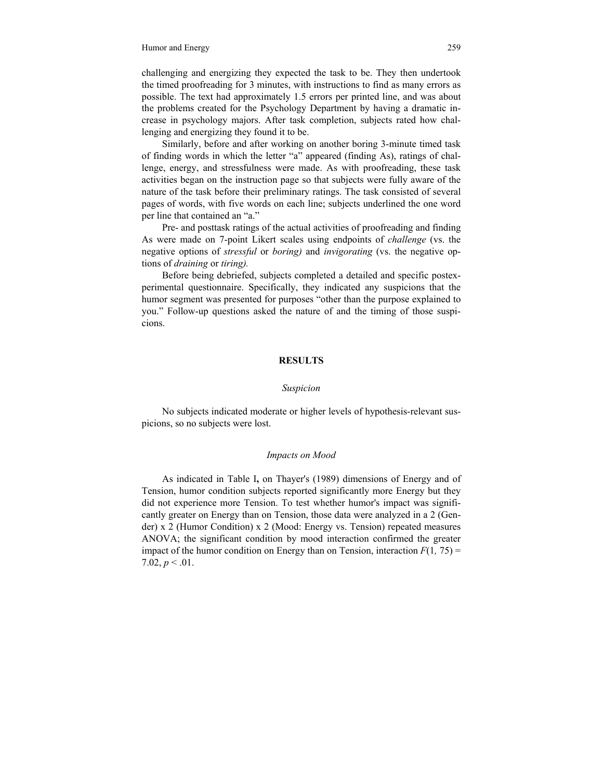challenging and energizing they expected the task to be. They then undertook the timed proofreading for 3 minutes, with instructions to find as many errors as possible. The text had approximately 1.5 errors per printed line, and was about the problems created for the Psychology Department by having a dramatic increase in psychology majors. After task completion, subjects rated how challenging and energizing they found it to be.

Similarly, before and after working on another boring 3-minute timed task of finding words in which the letter "a" appeared (finding As), ratings of challenge, energy, and stressfulness were made. As with proofreading, these task activities began on the instruction page so that subjects were fully aware of the nature of the task before their preliminary ratings. The task consisted of several pages of words, with five words on each line; subjects underlined the one word per line that contained an "a."

Pre- and posttask ratings of the actual activities of proofreading and finding As were made on 7-point Likert scales using endpoints of *challenge* (vs. the negative options of *stressful* or *boring)* and *invigorating* (vs. the negative options of *draining* or *tiring).* 

Before being debriefed, subjects completed a detailed and specific postexperimental questionnaire. Specifically, they indicated any suspicions that the humor segment was presented for purposes "other than the purpose explained to you." Follow-up questions asked the nature of and the timing of those suspicions.

#### **RESULTS**

#### *Suspicion*

No subjects indicated moderate or higher levels of hypothesis-relevant suspicions, so no subjects were lost.

#### *Impacts on Mood*

As indicated in Table I**,** on Thayer's (1989) dimensions of Energy and of Tension, humor condition subjects reported significantly more Energy but they did not experience more Tension. To test whether humor's impact was significantly greater on Energy than on Tension, those data were analyzed in a 2 (Gender) x 2 (Humor Condition) x 2 (Mood: Energy vs. Tension) repeated measures ANOVA; the significant condition by mood interaction confirmed the greater impact of the humor condition on Energy than on Tension, interaction  $F(1, 75) =$ 7.02,  $p < 0.01$ .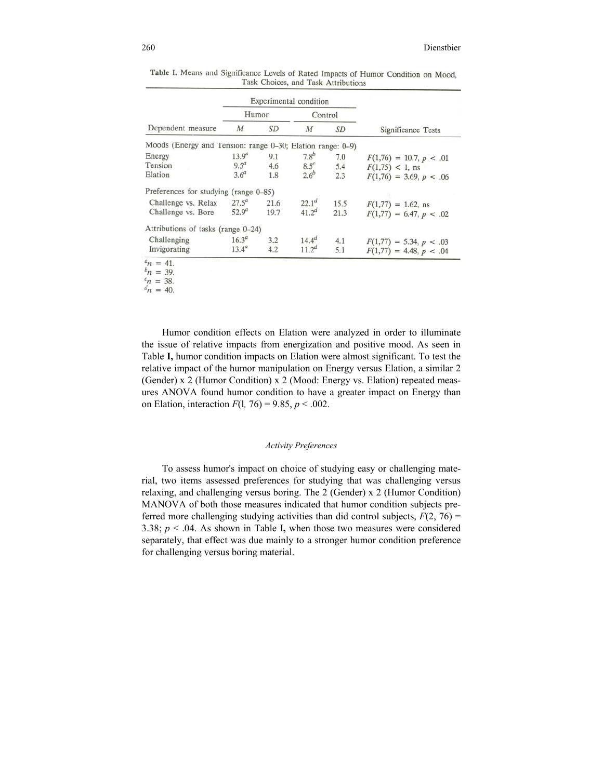| Dependent measure                                          | Experimental condition |      |                   |           |                           |
|------------------------------------------------------------|------------------------|------|-------------------|-----------|---------------------------|
|                                                            | Humor                  |      | Control           |           |                           |
|                                                            | $\boldsymbol{M}$       | SD   | $\boldsymbol{M}$  | <b>SD</b> | Significance Tests        |
| Moods (Energy and Tension: range 0-30; Elation range: 0-9) |                        |      |                   |           |                           |
| Energy                                                     | 13.9 <sup>a</sup>      | 9.1  | 7.8 <sup>b</sup>  | 7.0       | $F(1,76) = 10.7, p < .01$ |
| Tension                                                    | $9.5^a$                | 4.6  | $8.5^c$           | 5.4       | $F(1,75)$ < 1, ns         |
| Elation                                                    | 3.6 <sup>a</sup>       | 1.8  | 2.6 <sup>b</sup>  | 2.3       | $F(1,76) = 3.69, p < .06$ |
| Preferences for studying (range 0-85)                      |                        |      |                   |           |                           |
| Challenge vs. Relax                                        | $27.5^{a}$             | 21.6 | 22.1 <sup>d</sup> | 15.5      | $F(1,77) = 1.62$ , ns     |
| Challenge vs. Bore                                         | $52.9^{a}$             | 19.7 | $41.2^{d}$        | 21.3      | $F(1,77) = 6.47, p < .02$ |
| Attributions of tasks (range 0-24)                         |                        |      |                   |           |                           |
| Challenging                                                | $16.3^{a}$             | 3.2  | $14.4^{d}$        | 4.1       | $F(1,77) = 5.34, p < .03$ |
| Invigorating                                               | $13.4^a$               | 4.2  | 11.2 <sup>d</sup> | 5.1       | $F(1,77) = 4.48, p < .04$ |

| Table I. Means and Significance Levels of Rated Impacts of Humor Condition on Mood, |
|-------------------------------------------------------------------------------------|
| Task Choices, and Task Attributions                                                 |

 $n = 38.$ 

 $n_1 = 40$ .

Humor condition effects on Elation were analyzed in order to illuminate the issue of relative impacts from energization and positive mood. As seen in Table **I,** humor condition impacts on Elation were almost significant. To test the relative impact of the humor manipulation on Energy versus Elation, a similar 2 (Gender)  $x$  2 (Humor Condition)  $x$  2 (Mood: Energy vs. Elation) repeated measures ANOVA found humor condition to have a greater impact on Energy than on Elation, interaction  $F(1, 76) = 9.85$ ,  $p < .002$ .

#### *Activity Preferences*

To assess humor's impact on choice of studying easy or challenging material, two items assessed preferences for studying that was challenging versus relaxing, and challenging versus boring. The 2 (Gender) x 2 (Humor Condition) MANOVA of both those measures indicated that humor condition subjects preferred more challenging studying activities than did control subjects,  $F(2, 76) =$ 3.38; *p* < .04. As shown in Table I**,** when those two measures were considered separately, that effect was due mainly to a stronger humor condition preference for challenging versus boring material.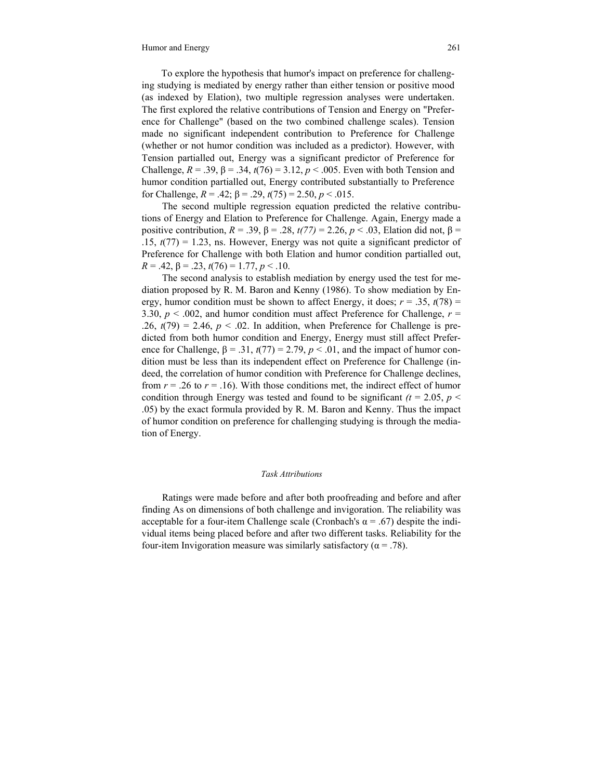To explore the hypothesis that humor's impact on preference for challenging studying is mediated by energy rather than either tension or positive mood (as indexed by Elation), two multiple regression analyses were undertaken. The first explored the relative contributions of Tension and Energy on "Preference for Challenge" (based on the two combined challenge scales). Tension made no significant independent contribution to Preference for Challenge (whether or not humor condition was included as a predictor). However, with Tension partialled out, Energy was a significant predictor of Preference for Challenge,  $R = .39$ ,  $β = .34$ ,  $t(76) = 3.12$ ,  $p < .005$ . Even with both Tension and humor condition partialled out, Energy contributed substantially to Preference for Challenge, *R* = .42; β = .29, *t*(75) = 2.50, *p* < .015.

The second multiple regression equation predicted the relative contributions of Energy and Elation to Preference for Challenge. Again, Energy made a positive contribution,  $R = .39$ ,  $β = .28$ ,  $t(77) = 2.26$ ,  $p < .03$ , Elation did not,  $β =$  $.15, t(77) = 1.23$ , ns. However, Energy was not quite a significant predictor of Preference for Challenge with both Elation and humor condition partialled out,  $R = .42, \beta = .23, t(76) = 1.77, p < .10.$ 

The second analysis to establish mediation by energy used the test for mediation proposed by R. M. Baron and Kenny (1986). To show mediation by Energy, humor condition must be shown to affect Energy, it does;  $r = .35$ ,  $t(78) =$ 3.30,  $p < .002$ , and humor condition must affect Preference for Challenge,  $r =$  $.26, t(79) = 2.46, p < .02$ . In addition, when Preference for Challenge is predicted from both humor condition and Energy, Energy must still affect Preference for Challenge,  $\beta = .31$ ,  $t(77) = 2.79$ ,  $p < .01$ , and the impact of humor condition must be less than its independent effect on Preference for Challenge (indeed, the correlation of humor condition with Preference for Challenge declines, from  $r = .26$  to  $r = .16$ ). With those conditions met, the indirect effect of humor condition through Energy was tested and found to be significant  $(t = 2.05, p <$ .05) by the exact formula provided by R. M. Baron and Kenny. Thus the impact of humor condition on preference for challenging studying is through the mediation of Energy.

#### *Task Attributions*

Ratings were made before and after both proofreading and before and after finding As on dimensions of both challenge and invigoration. The reliability was acceptable for a four-item Challenge scale (Cronbach's  $\alpha$  = .67) despite the individual items being placed before and after two different tasks. Reliability for the four-item Invigoration measure was similarly satisfactory ( $\alpha$  = .78).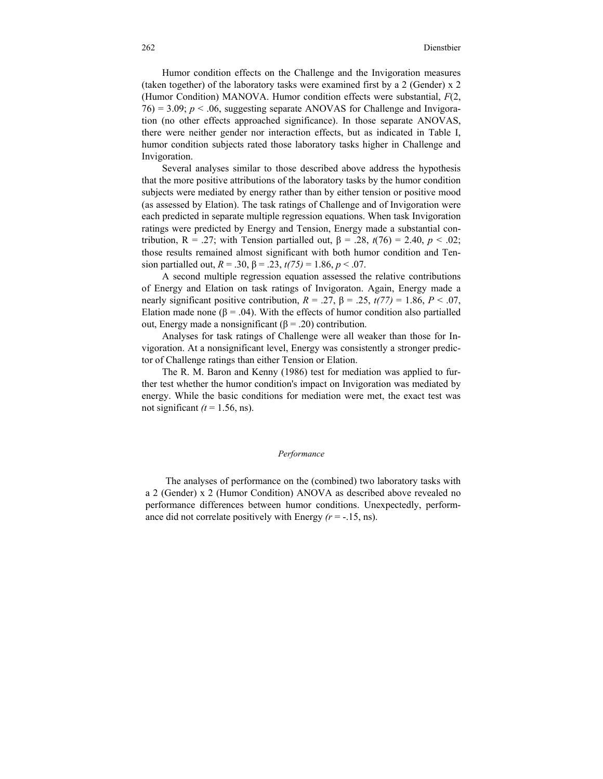Humor condition effects on the Challenge and the Invigoration measures (taken together) of the laboratory tasks were examined first by a 2 (Gender) x 2 (Humor Condition) MANOVA. Humor condition effects were substantial, *F*(2,  $76$ ) = 3.09;  $p < 0.06$ , suggesting separate ANOVAS for Challenge and Invigoration (no other effects approached significance). In those separate ANOVAS, there were neither gender nor interaction effects, but as indicated in Table I, humor condition subjects rated those laboratory tasks higher in Challenge and Invigoration.

Several analyses similar to those described above address the hypothesis that the more positive attributions of the laboratory tasks by the humor condition subjects were mediated by energy rather than by either tension or positive mood (as assessed by Elation). The task ratings of Challenge and of Invigoration were each predicted in separate multiple regression equations. When task Invigoration ratings were predicted by Energy and Tension, Energy made a substantial contribution, R = .27; with Tension partialled out, β = .28, *t*(76) = 2.40, *p* < .02; those results remained almost significant with both humor condition and Tension partialled out,  $R = .30$ ,  $\beta = .23$ ,  $t(75) = 1.86$ ,  $p < .07$ .

A second multiple regression equation assessed the relative contributions of Energy and Elation on task ratings of Invigoraton. Again, Energy made a nearly significant positive contribution,  $R = 0.27$ ,  $β = 0.25$ ,  $t(77) = 1.86$ ,  $P < 0.07$ , Elation made none ( $\beta$  = .04). With the effects of humor condition also partialled out, Energy made a nonsignificant ( $β = .20$ ) contribution.

Analyses for task ratings of Challenge were all weaker than those for Invigoration. At a nonsignificant level, Energy was consistently a stronger predictor of Challenge ratings than either Tension or Elation.

The R. M. Baron and Kenny (1986) test for mediation was applied to further test whether the humor condition's impact on Invigoration was mediated by energy. While the basic conditions for mediation were met, the exact test was not significant  $(t = 1.56, \text{ns})$ .

#### *Performance*

The analyses of performance on the (combined) two laboratory tasks with a 2 (Gender) x 2 (Humor Condition) ANOVA as described above revealed no performance differences between humor conditions. Unexpectedly, performance did not correlate positively with Energy  $(r = -15, \text{ns})$ .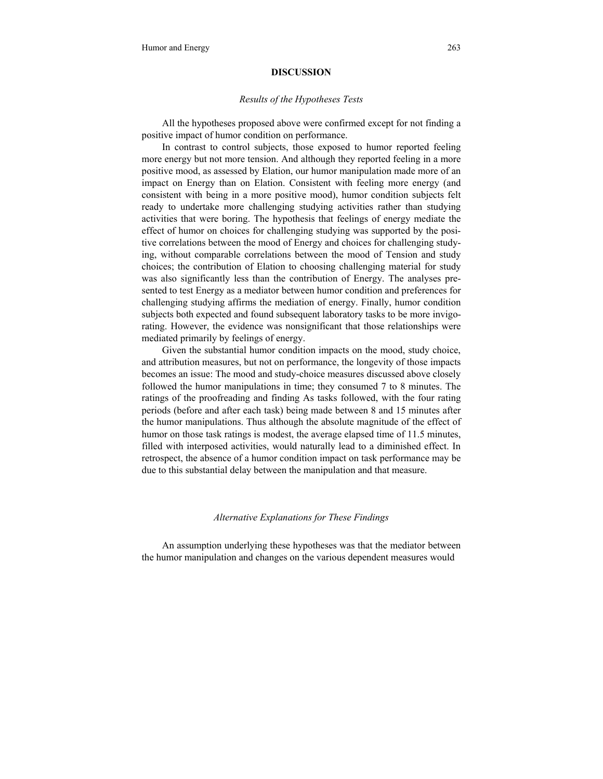#### **DISCUSSION**

#### *Results of the Hypotheses Tests*

All the hypotheses proposed above were confirmed except for not finding a positive impact of humor condition on performance.

In contrast to control subjects, those exposed to humor reported feeling more energy but not more tension. And although they reported feeling in a more positive mood, as assessed by Elation, our humor manipulation made more of an impact on Energy than on Elation. Consistent with feeling more energy (and consistent with being in a more positive mood), humor condition subjects felt ready to undertake more challenging studying activities rather than studying activities that were boring. The hypothesis that feelings of energy mediate the effect of humor on choices for challenging studying was supported by the positive correlations between the mood of Energy and choices for challenging studying, without comparable correlations between the mood of Tension and study choices; the contribution of Elation to choosing challenging material for study was also significantly less than the contribution of Energy. The analyses presented to test Energy as a mediator between humor condition and preferences for challenging studying affirms the mediation of energy. Finally, humor condition subjects both expected and found subsequent laboratory tasks to be more invigorating. However, the evidence was nonsignificant that those relationships were mediated primarily by feelings of energy.

Given the substantial humor condition impacts on the mood, study choice, and attribution measures, but not on performance, the longevity of those impacts becomes an issue: The mood and study-choice measures discussed above closely followed the humor manipulations in time; they consumed 7 to 8 minutes. The ratings of the proofreading and finding As tasks followed, with the four rating periods (before and after each task) being made between 8 and 15 minutes after the humor manipulations. Thus although the absolute magnitude of the effect of humor on those task ratings is modest, the average elapsed time of 11.5 minutes, filled with interposed activities, would naturally lead to a diminished effect. In retrospect, the absence of a humor condition impact on task performance may be due to this substantial delay between the manipulation and that measure.

#### *Alternative Explanations for These Findings*

An assumption underlying these hypotheses was that the mediator between the humor manipulation and changes on the various dependent measures would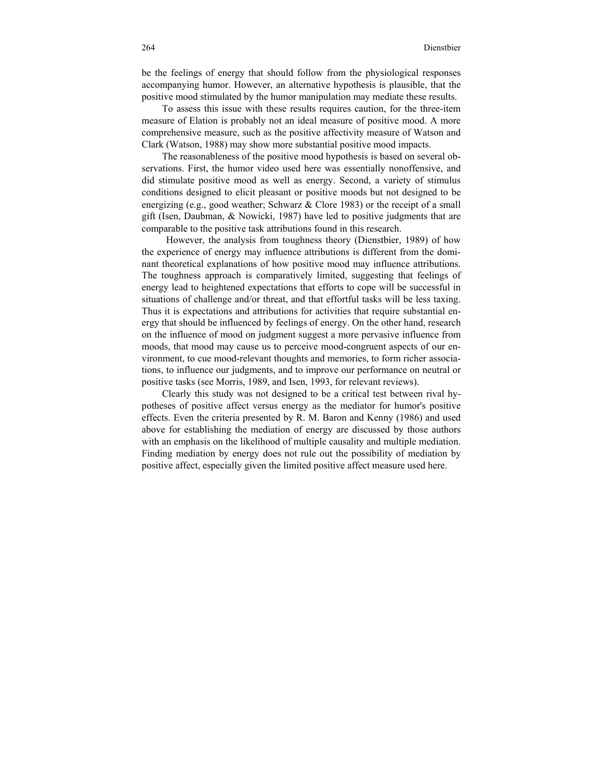be the feelings of energy that should follow from the physiological responses accompanying humor. However, an alternative hypothesis is plausible, that the positive mood stimulated by the humor manipulation may mediate these results.

To assess this issue with these results requires caution, for the three-item measure of Elation is probably not an ideal measure of positive mood. A more comprehensive measure, such as the positive affectivity measure of Watson and Clark (Watson, 1988) may show more substantial positive mood impacts.

The reasonableness of the positive mood hypothesis is based on several observations. First, the humor video used here was essentially nonoffensive, and did stimulate positive mood as well as energy. Second, a variety of stimulus conditions designed to elicit pleasant or positive moods but not designed to be energizing (e.g., good weather; Schwarz & Clore 1983) or the receipt of a small gift (Isen, Daubman, & Nowicki, 1987) have led to positive judgments that are comparable to the positive task attributions found in this research.

However, the analysis from toughness theory (Dienstbier, 1989) of how the experience of energy may influence attributions is different from the dominant theoretical explanations of how positive mood may influence attributions. The toughness approach is comparatively limited, suggesting that feelings of energy lead to heightened expectations that efforts to cope will be successful in situations of challenge and/or threat, and that effortful tasks will be less taxing. Thus it is expectations and attributions for activities that require substantial energy that should be influenced by feelings of energy. On the other hand, research on the influence of mood on judgment suggest a more pervasive influence from moods, that mood may cause us to perceive mood-congruent aspects of our environment, to cue mood-relevant thoughts and memories, to form richer associations, to influence our judgments, and to improve our performance on neutral or positive tasks (see Morris, 1989, and Isen, 1993, for relevant reviews).

Clearly this study was not designed to be a critical test between rival hypotheses of positive affect versus energy as the mediator for humor's positive effects. Even the criteria presented by R. M. Baron and Kenny (1986) and used above for establishing the mediation of energy are discussed by those authors with an emphasis on the likelihood of multiple causality and multiple mediation. Finding mediation by energy does not rule out the possibility of mediation by positive affect, especially given the limited positive affect measure used here.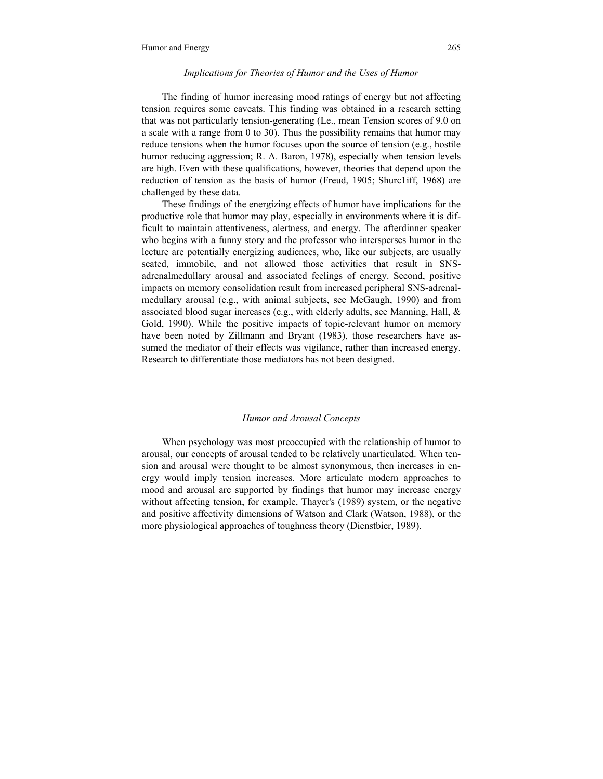#### *Implications for Theories of Humor and the Uses of Humor*

The finding of humor increasing mood ratings of energy but not affecting tension requires some caveats. This finding was obtained in a research setting that was not particularly tension-generating (Le., mean Tension scores of 9.0 on a scale with a range from 0 to 30). Thus the possibility remains that humor may reduce tensions when the humor focuses upon the source of tension (e.g., hostile humor reducing aggression; R. A. Baron, 1978), especially when tension levels are high. Even with these qualifications, however, theories that depend upon the reduction of tension as the basis of humor (Freud, 1905; Shurc1iff, 1968) are challenged by these data.

These findings of the energizing effects of humor have implications for the productive role that humor may play, especially in environments where it is difficult to maintain attentiveness, alertness, and energy. The afterdinner speaker who begins with a funny story and the professor who intersperses humor in the lecture are potentially energizing audiences, who, like our subjects, are usually seated, immobile, and not allowed those activities that result in SNSadrenalmedullary arousal and associated feelings of energy. Second, positive impacts on memory consolidation result from increased peripheral SNS-adrenalmedullary arousal (e.g., with animal subjects, see McGaugh, 1990) and from associated blood sugar increases (e.g., with elderly adults, see Manning, Hall,  $\&$ Gold, 1990). While the positive impacts of topic-relevant humor on memory have been noted by Zillmann and Bryant (1983), those researchers have assumed the mediator of their effects was vigilance, rather than increased energy. Research to differentiate those mediators has not been designed.

#### *Humor and Arousal Concepts*

When psychology was most preoccupied with the relationship of humor to arousal, our concepts of arousal tended to be relatively unarticulated. When tension and arousal were thought to be almost synonymous, then increases in energy would imply tension increases. More articulate modern approaches to mood and arousal are supported by findings that humor may increase energy without affecting tension, for example, Thayer's (1989) system, or the negative and positive affectivity dimensions of Watson and Clark (Watson, 1988), or the more physiological approaches of toughness theory (Dienstbier, 1989).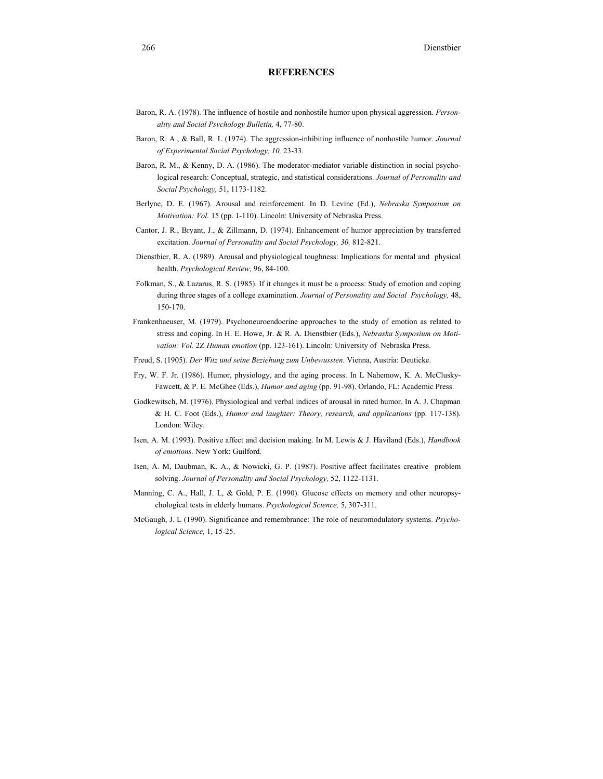#### **REFERENCES**

- Baron, R. A. (1978). The influence of hostile and nonhostile humor upon physical aggression. *Personality and Social Psychology Bulletin,* 4, 77-80.
- Baron, R. A., & Ball, R. L (1974). The aggression-inhibiting influence of nonhostile humor. *Journal of Experimental Social Psychology, 10,* 23-33.
- Baron, R. M., & Kenny, D. A. (1986). The moderator-mediator variable distinction in social psychological research: Conceptual, strategic, and statistical considerations. *Journal of Personality and Social Psychology,* 51, 1173-1182.
- Berlyne, D. E. (1967). Arousal and reinforcement. In D. Levine (Ed.), *Nebraska Symposium on Motivation: Vol.* 15 (pp. 1-110). Lincoln: University of Nebraska Press.
- Cantor, J. R., Bryant, J., & Zillmann, D. (1974). Enhancement of humor appreciation by transferred excitation. *Journal of Personality and Social Psychology, 30,* 812-821.
- Dienstbier, R. A. (1989). Arousal and physiological toughness: Implications for mental and physical health. *Psychological Review,* 96, 84-100.
- Folkman, S., & Lazarus, R. S. (1985). If it changes it must be a process: Study of emotion and coping during three stages of a college examination. *Journal of Personality and Social Psychology,* 48, 150-170.
- Frankenhaeuser, M. (1979). Psychoneuroendocrine approaches to the study of emotion as related to stress and coping. In H. E. Howe, Jr. & R. A. Dienstbier (Eds.), *Nebraska Symposium on Motivation: Vol.* 2Z *Human emotion* (pp. 123-161). Lincoln: University of Nebraska Press.
- Freud, S. (1905). *Der Witz und seine Beziehung zum Unbewussten.* Vienna, Austria: Deuticke.
- Fry, W. F. Jr. (1986). Humor, physiology, and the aging process. In L Nahemow, K. A. McClusky-Fawcett, & P. E. McGhee (Eds.), *Humor and aging* (pp. 91-98). Orlando, FL: Academic Press.
- Godkewitsch, M. (1976). Physiological and verbal indices of arousal in rated humor. In A. J. Chapman & H. C. Foot (Eds.), *Humor and laughter: Theory, research, and applications* (pp. 117-138). London: Wiley.
- Isen, A. M. (1993). Positive affect and decision making. In M. Lewis & J. Haviland (Eds.), *Handbook of emotions.* New York: Guilford.
- Isen, A. M, Daubman, K. A., & Nowicki, G. P. (1987). Positive affect facilitates creative problem solving. *Journal of Personality and Social Psychology,* 52, 1122-1131.
- Manning, C. A., Hall, J. L, & Gold, P. E. (1990). Glucose effects on memory and other neuropsychological tests in elderly humans. *Psychological Science,* 5, 307-311.
- McGaugh, J. L (1990). Significance and remembrance: The role of neuromodulatory systems. *Psychological Science,* 1, 15-25.